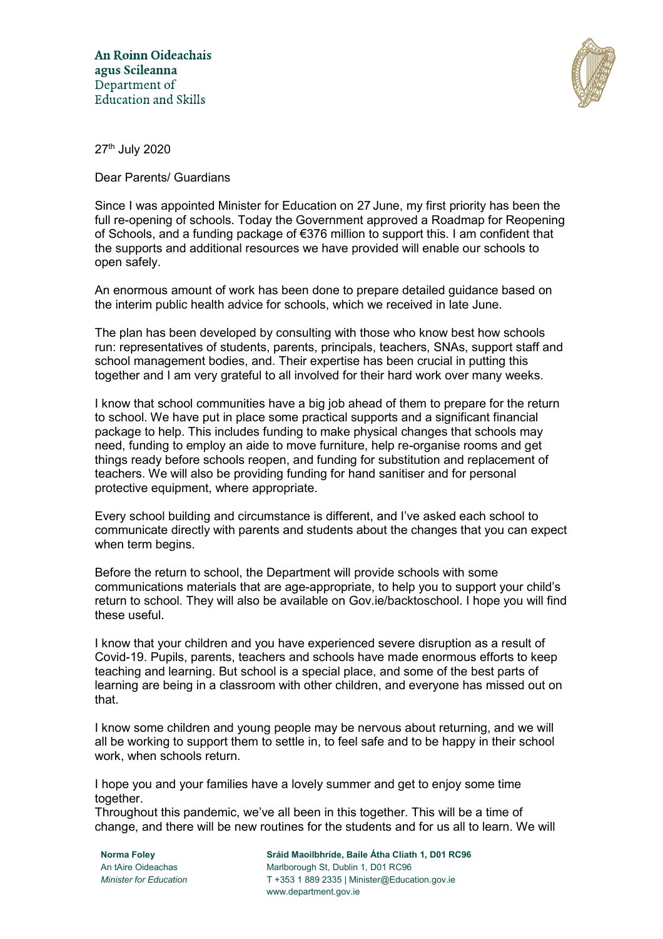

27th July 2020

Dear Parents/ Guardians

Since I was appointed Minister for Education on 27 June, my first priority has been the full re-opening of schools. Today the Government approved a Roadmap for Reopening of Schools, and a funding package of €376 million to support this. I am confident that the supports and additional resources we have provided will enable our schools to open safely.

An enormous amount of work has been done to prepare detailed guidance based on the interim public health advice for schools, which we received in late June.

The plan has been developed by consulting with those who know best how schools run: representatives of students, parents, principals, teachers, SNAs, support staff and school management bodies, and. Their expertise has been crucial in putting this together and I am very grateful to all involved for their hard work over many weeks.

I know that school communities have a big job ahead of them to prepare for the return to school. We have put in place some practical supports and a significant financial package to help. This includes funding to make physical changes that schools may need, funding to employ an aide to move furniture, help re-organise rooms and get things ready before schools reopen, and funding for substitution and replacement of teachers. We will also be providing funding for hand sanitiser and for personal protective equipment, where appropriate.

Every school building and circumstance is different, and I've asked each school to communicate directly with parents and students about the changes that you can expect when term begins.

Before the return to school, the Department will provide schools with some communications materials that are age-appropriate, to help you to support your child's return to school. They will also be available on Gov.ie/backtoschool. I hope you will find these useful.

I know that your children and you have experienced severe disruption as a result of Covid-19. Pupils, parents, teachers and schools have made enormous efforts to keep teaching and learning. But school is a special place, and some of the best parts of learning are being in a classroom with other children, and everyone has missed out on that.

I know some children and young people may be nervous about returning, and we will all be working to support them to settle in, to feel safe and to be happy in their school work, when schools return.

I hope you and your families have a lovely summer and get to enjoy some time together.

Throughout this pandemic, we've all been in this together. This will be a time of change, and there will be new routines for the students and for us all to learn. We will

**Norma Foley Sráid Maoilbhríde, Baile Átha Cliath 1, D01 RC96** An tAire Oideachas Marlborough St, Dublin 1, D01 RC96 *Minister for Education* T +353 1 889 2335 | Minister@Education.gov.ie www.department.gov.ie